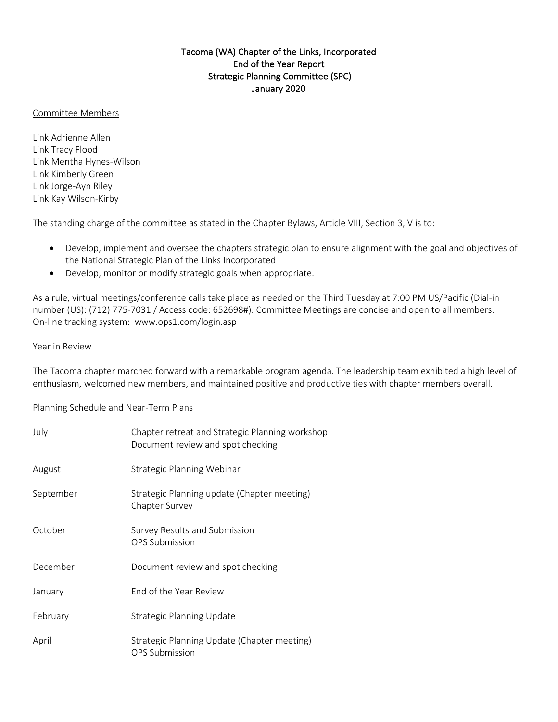# Tacoma (WA) Chapter of the Links, Incorporated End of the Year Report Strategic Planning Committee (SPC) January 2020

### Committee Members

Link Adrienne Allen Link Tracy Flood Link Mentha Hynes-Wilson Link Kimberly Green Link Jorge-Ayn Riley Link Kay Wilson-Kirby

The standing charge of the committee as stated in the Chapter Bylaws, Article VIII, Section 3, V is to:

- Develop, implement and oversee the chapters strategic plan to ensure alignment with the goal and objectives of the National Strategic Plan of the Links Incorporated
- Develop, monitor or modify strategic goals when appropriate.

As a rule, virtual meetings/conference calls take place as needed on the Third Tuesday at 7:00 PM US/Pacific (Dial-in number (US): (712) 775-7031 / Access code: 652698#). Committee Meetings are concise and open to all members. On-line tracking system: [www.ops1.com/login.asp](http://www.ops1.com/login.asp)

### Year in Review

The Tacoma chapter marched forward with a remarkable program agenda. The leadership team exhibited a high level of enthusiasm, welcomed new members, and maintained positive and productive ties with chapter members overall.

#### Planning Schedule and Near-Term Plans

| July      | Chapter retreat and Strategic Planning workshop<br>Document review and spot checking |
|-----------|--------------------------------------------------------------------------------------|
| August    | Strategic Planning Webinar                                                           |
| September | Strategic Planning update (Chapter meeting)<br>Chapter Survey                        |
| October   | Survey Results and Submission<br>OPS Submission                                      |
| December  | Document review and spot checking                                                    |
| January   | End of the Year Review                                                               |
| February  | Strategic Planning Update                                                            |
| April     | Strategic Planning Update (Chapter meeting)<br>OPS Submission                        |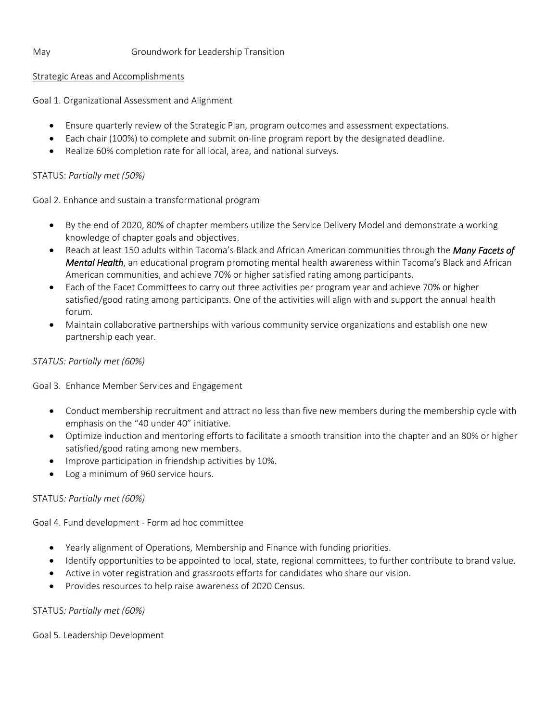#### May Groundwork for Leadership Transition

### Strategic Areas and Accomplishments

Goal 1. Organizational Assessment and Alignment

- Ensure quarterly review of the Strategic Plan, program outcomes and assessment expectations.
- Each chair (100%) to complete and submit on-line program report by the designated deadline.
- Realize 60% completion rate for all local, area, and national surveys.

# STATUS: *Partially met (50%)*

Goal 2. Enhance and sustain a transformational program

- By the end of 2020, 80% of chapter members utilize the Service Delivery Model and demonstrate a working knowledge of chapter goals and objectives.
- Reach at least 150 adults within Tacoma's Black and African American communities through the *Many Facets of Mental Health*, an educational program promoting mental health awareness within Tacoma's Black and African American communities, and achieve 70% or higher satisfied rating among participants.
- Each of the Facet Committees to carry out three activities per program year and achieve 70% or higher satisfied/good rating among participants. One of the activities will align with and support the annual health forum.
- Maintain collaborative partnerships with various community service organizations and establish one new partnership each year.

# *STATUS: Partially met (60%)*

Goal 3. Enhance Member Services and Engagement

- Conduct membership recruitment and attract no less than five new members during the membership cycle with emphasis on the "40 under 40" initiative.
- Optimize induction and mentoring efforts to facilitate a smooth transition into the chapter and an 80% or higher satisfied/good rating among new members.
- Improve participation in friendship activities by 10%.
- Log a minimum of 960 service hours.

### STATUS*: Partially met (60%)*

Goal 4. Fund development - Form ad hoc committee

- Yearly alignment of Operations, Membership and Finance with funding priorities.
- Identify opportunities to be appointed to local, state, regional committees, to further contribute to brand value.
- Active in voter registration and grassroots efforts for candidates who share our vision.
- Provides resources to help raise awareness of 2020 Census.

### STATUS*: Partially met (60%)*

Goal 5. Leadership Development